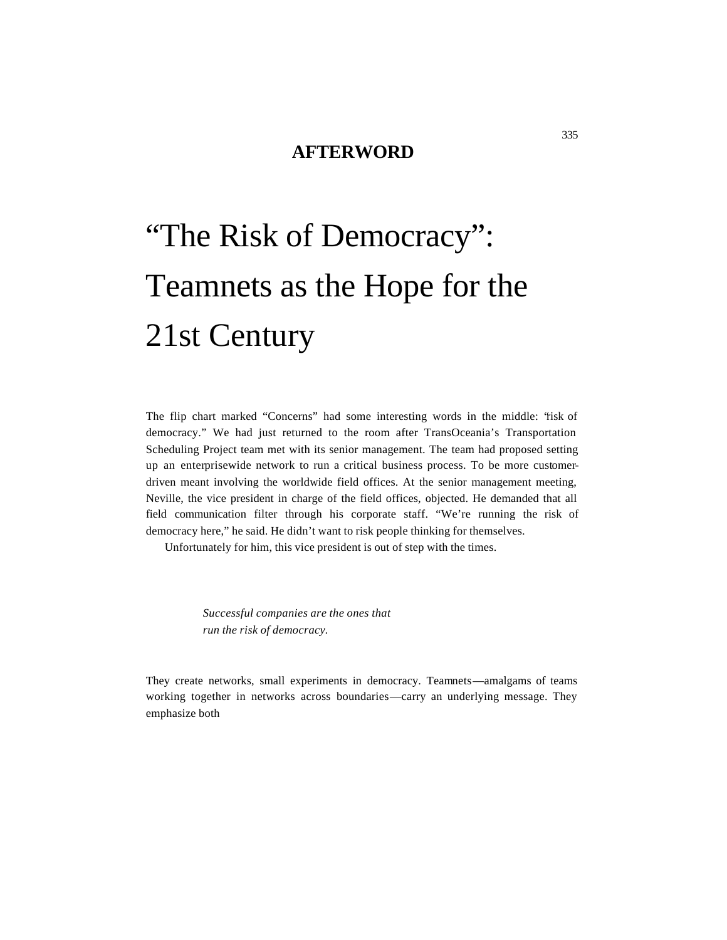# **AFTERWORD**

# "The Risk of Democracy": Teamnets as the Hope for the 21st Century

The flip chart marked "Concerns" had some interesting words in the middle: 'fisk of democracy." We had just returned to the room after TransOceania's Transportation Scheduling Project team met with its senior management. The team had proposed setting up an enterprisewide network to run a critical business process. To be more customerdriven meant involving the worldwide field offices. At the senior management meeting, Neville, the vice president in charge of the field offices, objected. He demanded that all field communication filter through his corporate staff. "We're running the risk of democracy here," he said. He didn't want to risk people thinking for themselves.

Unfortunately for him, this vice president is out of step with the times.

*Successful companies are the ones that run the risk of democracy.*

They create networks, small experiments in democracy. Teamnets—amalgams of teams working together in networks across boundaries—carry an underlying message. They emphasize both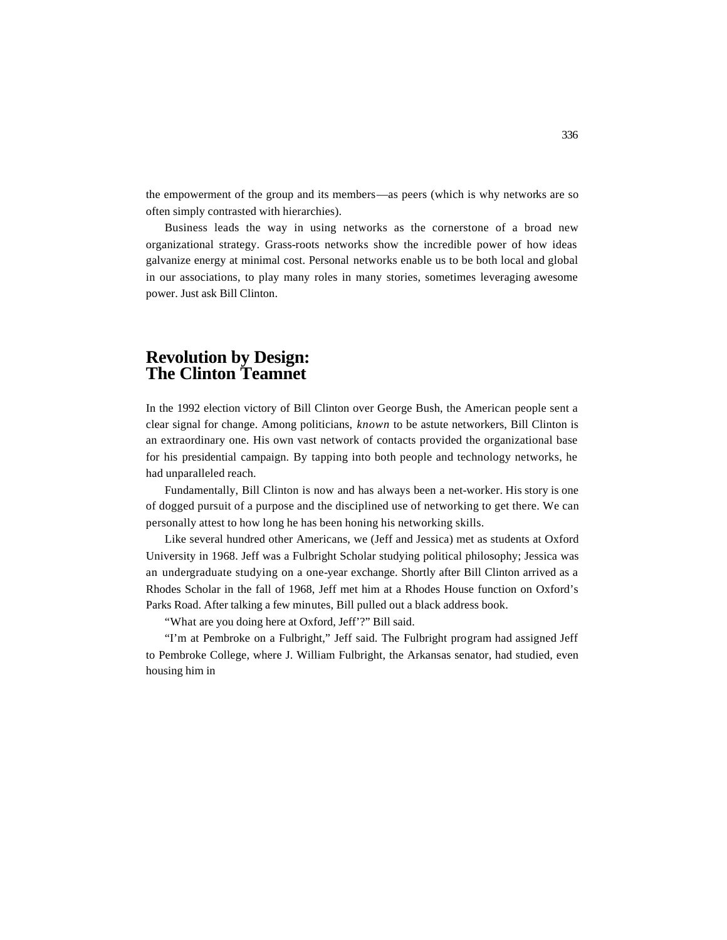the empowerment of the group and its members—as peers (which is why networks are so often simply contrasted with hierarchies).

Business leads the way in using networks as the cornerstone of a broad new organizational strategy. Grass-roots networks show the incredible power of how ideas galvanize energy at minimal cost. Personal networks enable us to be both local and global in our associations, to play many roles in many stories, sometimes leveraging awesome power. Just ask Bill Clinton.

# **Revolution by Design: The Clinton Teamnet**

In the 1992 election victory of Bill Clinton over George Bush, the American people sent a clear signal for change. Among politicians, *known* to be astute networkers, Bill Clinton is an extraordinary one. His own vast network of contacts provided the organizational base for his presidential campaign. By tapping into both people and technology networks, he had unparalleled reach.

Fundamentally, Bill Clinton is now and has always been a net-worker. His story is one of dogged pursuit of a purpose and the disciplined use of networking to get there. We can personally attest to how long he has been honing his networking skills.

Like several hundred other Americans, we (Jeff and Jessica) met as students at Oxford University in 1968. Jeff was a Fulbright Scholar studying political philosophy; Jessica was an undergraduate studying on a one-year exchange. Shortly after Bill Clinton arrived as a Rhodes Scholar in the fall of 1968, Jeff met him at a Rhodes House function on Oxford's Parks Road. After talking a few minutes, Bill pulled out a black address book.

"What are you doing here at Oxford, Jeff'?" Bill said.

"I'm at Pembroke on a Fulbright," Jeff said. The Fulbright program had assigned Jeff to Pembroke College, where J. William Fulbright, the Arkansas senator, had studied, even housing him in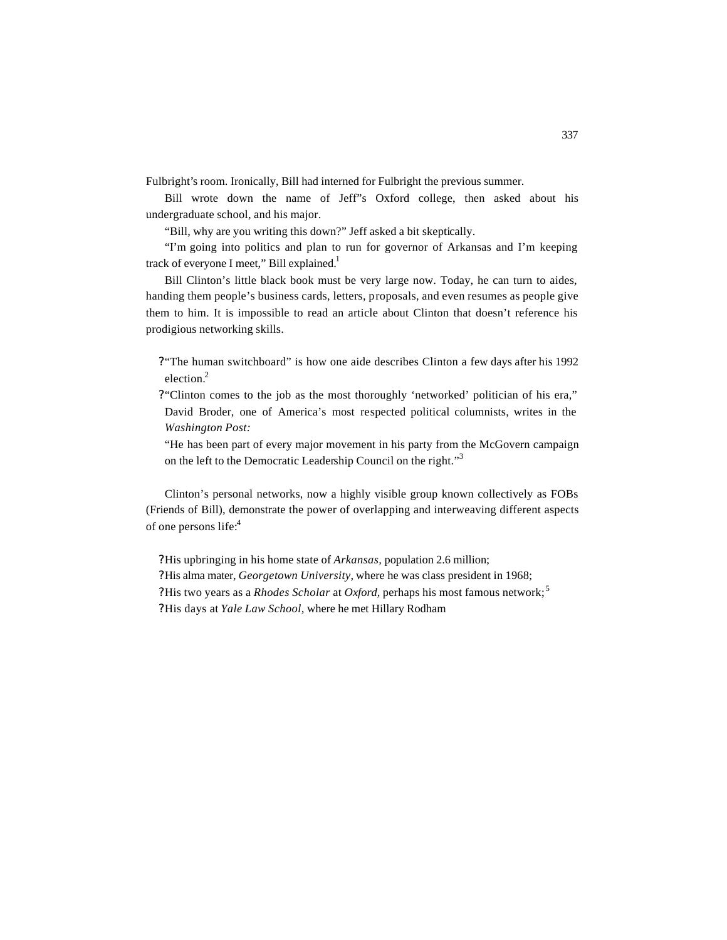Fulbright's room. Ironically, Bill had interned for Fulbright the previous summer.

Bill wrote down the name of Jeff"s Oxford college, then asked about his undergraduate school, and his major.

"Bill, why are you writing this down?" Jeff asked a bit skeptically.

"I'm going into politics and plan to run for governor of Arkansas and I'm keeping track of everyone I meet," Bill explained.<sup>1</sup>

Bill Clinton's little black book must be very large now. Today, he can turn to aides, handing them people's business cards, letters, proposals, and even resumes as people give them to him. It is impossible to read an article about Clinton that doesn't reference his prodigious networking skills.

- ?"The human switchboard" is how one aide describes Clinton a few days after his 1992 election.<sup>2</sup>
- ?"Clinton comes to the job as the most thoroughly 'networked' politician of his era," David Broder, one of America's most respected political columnists, writes in the *Washington Post:*

"He has been part of every major movement in his party from the McGovern campaign on the left to the Democratic Leadership Council on the right."<sup>3</sup>

Clinton's personal networks, now a highly visible group known collectively as FOBs (Friends of Bill), demonstrate the power of overlapping and interweaving different aspects of one persons life:<sup>4</sup>

?His upbringing in his home state of *Arkansas,* population 2.6 million; ?His alma mater, *Georgetown University,* where he was class president in 1968; ?His two years as a *Rhodes Scholar* at *Oxford,* perhaps his most famous network; <sup>5</sup> ?His days at *Yale Law School,* where he met Hillary Rodham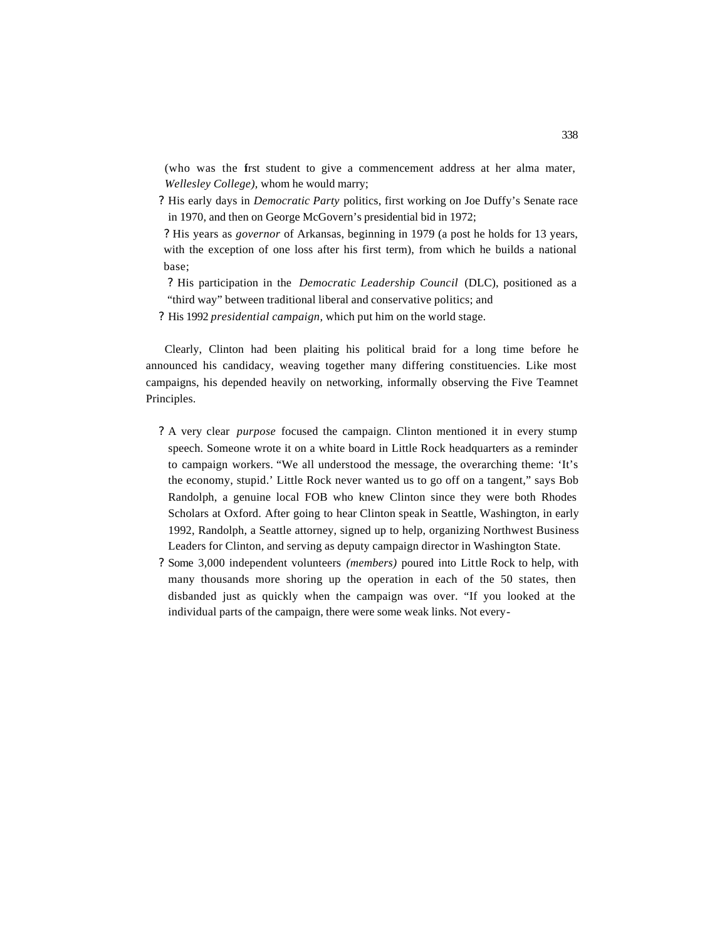(who was the first student to give a commencement address at her alma mater, *Wellesley College),* whom he would marry;

? His early days in *Democratic Party* politics, first working on Joe Duffy's Senate race in 1970, and then on George McGovern's presidential bid in 1972;

? His years as *governor* of Arkansas, beginning in 1979 (a post he holds for 13 years, with the exception of one loss after his first term), from which he builds a national base;

? His participation in the *Democratic Leadership Council* (DLC), positioned as a "third way" between traditional liberal and conservative politics; and

? His 1992 *presidential campaign,* which put him on the world stage.

Clearly, Clinton had been plaiting his political braid for a long time before he announced his candidacy, weaving together many differing constituencies. Like most campaigns, his depended heavily on networking, informally observing the Five Teamnet Principles.

- ? A very clear *purpose* focused the campaign. Clinton mentioned it in every stump speech. Someone wrote it on a white board in Little Rock headquarters as a reminder to campaign workers. "We all understood the message, the overarching theme: 'It's the economy, stupid.' Little Rock never wanted us to go off on a tangent," says Bob Randolph, a genuine local FOB who knew Clinton since they were both Rhodes Scholars at Oxford. After going to hear Clinton speak in Seattle, Washington, in early 1992, Randolph, a Seattle attorney, signed up to help, organizing Northwest Business Leaders for Clinton, and serving as deputy campaign director in Washington State.
- ? Some 3,000 independent volunteers *(members)* poured into Little Rock to help, with many thousands more shoring up the operation in each of the 50 states, then disbanded just as quickly when the campaign was over. "If you looked at the individual parts of the campaign, there were some weak links. Not every-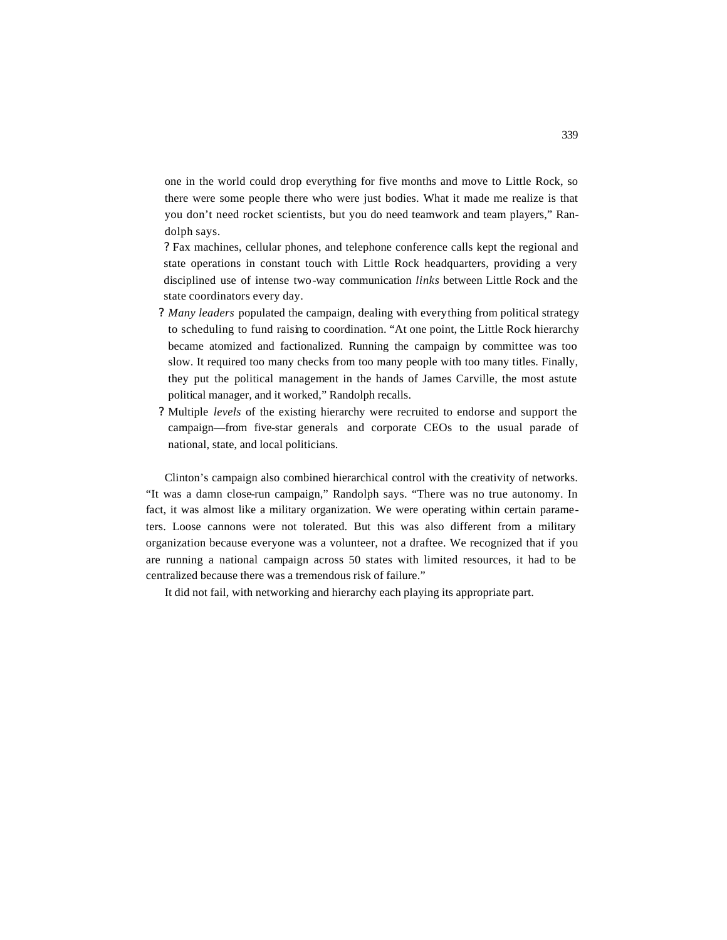one in the world could drop everything for five months and move to Little Rock, so there were some people there who were just bodies. What it made me realize is that you don't need rocket scientists, but you do need teamwork and team players," Randolph says.

? Fax machines, cellular phones, and telephone conference calls kept the regional and state operations in constant touch with Little Rock headquarters, providing a very disciplined use of intense two-way communication *links* between Little Rock and the state coordinators every day.

- *? Many leaders* populated the campaign, dealing with everything from political strategy to scheduling to fund raising to coordination. "At one point, the Little Rock hierarchy became atomized and factionalized. Running the campaign by committee was too slow. It required too many checks from too many people with too many titles. Finally, they put the political management in the hands of James Carville, the most astute political manager, and it worked," Randolph recalls.
- ? Multiple *levels* of the existing hierarchy were recruited to endorse and support the campaign—from five-star generals and corporate CEOs to the usual parade of national, state, and local politicians.

Clinton's campaign also combined hierarchical control with the creativity of networks. "It was a damn close-run campaign," Randolph says. "There was no true autonomy. In fact, it was almost like a military organization. We were operating within certain parameters. Loose cannons were not tolerated. But this was also different from a military organization because everyone was a volunteer, not a draftee. We recognized that if you are running a national campaign across 50 states with limited resources, it had to be centralized because there was a tremendous risk of failure."

It did not fail, with networking and hierarchy each playing its appropriate part.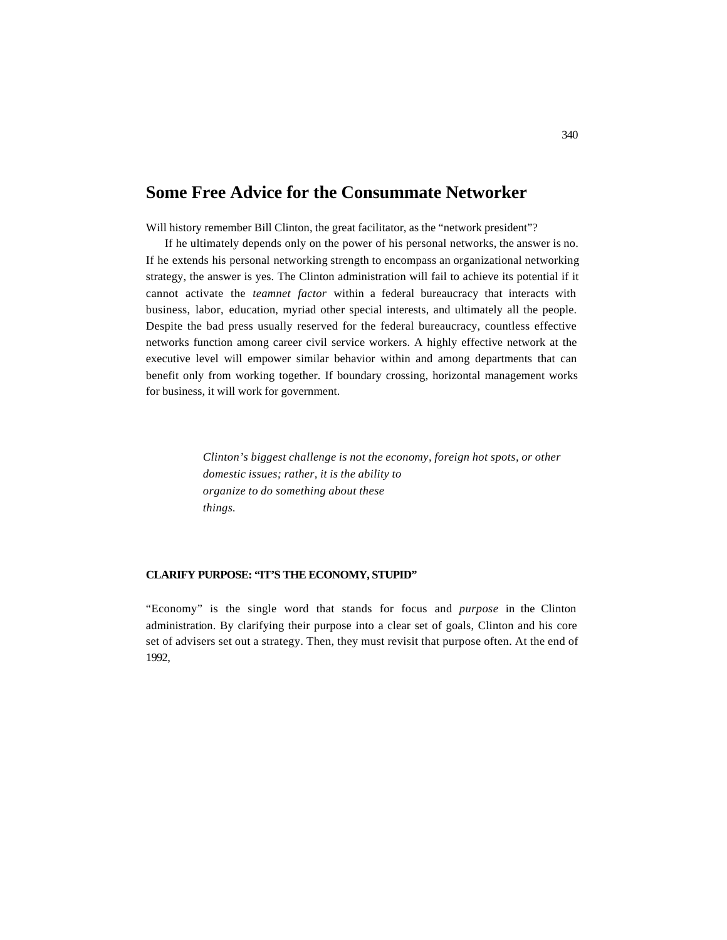# **Some Free Advice for the Consummate Networker**

Will history remember Bill Clinton, the great facilitator, as the "network president"?

If he ultimately depends only on the power of his personal networks, the answer is no. If he extends his personal networking strength to encompass an organizational networking strategy, the answer is yes. The Clinton administration will fail to achieve its potential if it cannot activate the *teamnet factor* within a federal bureaucracy that interacts with business, labor, education, myriad other special interests, and ultimately all the people. Despite the bad press usually reserved for the federal bureaucracy, countless effective networks function among career civil service workers. A highly effective network at the executive level will empower similar behavior within and among departments that can benefit only from working together. If boundary crossing, horizontal management works for business, it will work for government.

> *Clinton's biggest challenge is not the economy, foreign hot spots, or other domestic issues; rather, it is the ability to organize to do something about these things.*

### **CLARIFY PURPOSE: "IT'S THE ECONOMY, STUPID"**

"Economy" is the single word that stands for focus and *purpose* in the Clinton administration. By clarifying their purpose into a clear set of goals, Clinton and his core set of advisers set out a strategy. Then, they must revisit that purpose often. At the end of 1992,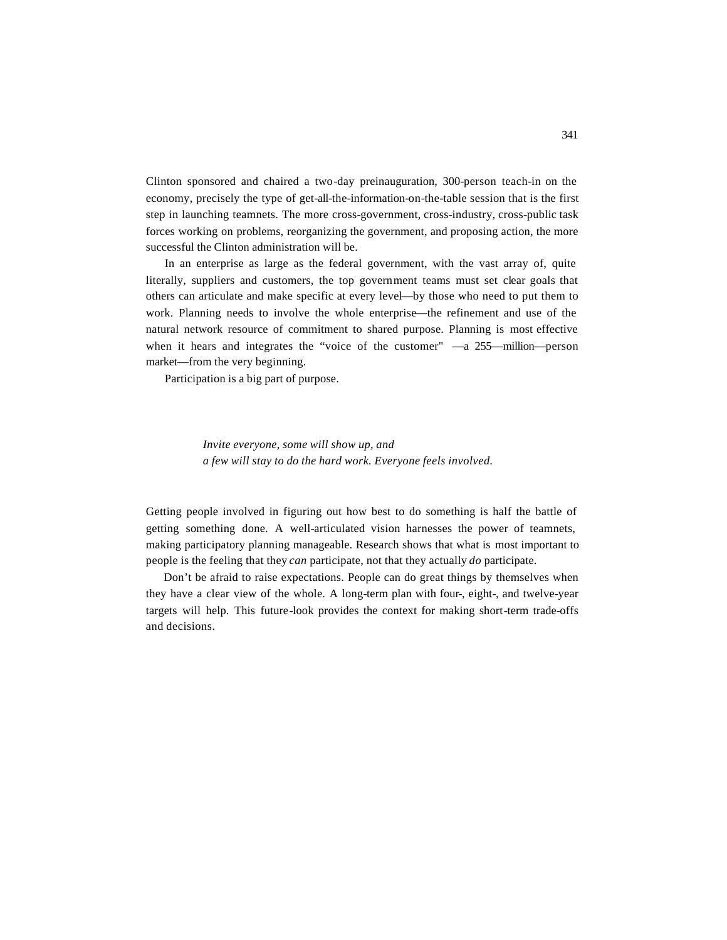Clinton sponsored and chaired a two-day preinauguration, 300-person teach-in on the economy, precisely the type of get-all-the-information-on-the-table session that is the first step in launching teamnets. The more cross-government, cross-industry, cross-public task forces working on problems, reorganizing the government, and proposing action, the more successful the Clinton administration will be.

In an enterprise as large as the federal government, with the vast array of, quite literally, suppliers and customers, the top government teams must set clear goals that others can articulate and make specific at every level—by those who need to put them to work. Planning needs to involve the whole enterprise—the refinement and use of the natural network resource of commitment to shared purpose. Planning is most effective when it hears and integrates the "voice of the customer" —a 255—million—person market—from the very beginning.

Participation is a big part of purpose.

*Invite everyone, some will show up, and a few will stay to do the hard work. Everyone feels involved.*

Getting people involved in figuring out how best to do something is half the battle of getting something done. A well-articulated vision harnesses the power of teamnets, making participatory planning manageable. Research shows that what is most important to people is the feeling that they *can* participate, not that they actually *do* participate.

Don't be afraid to raise expectations. People can do great things by themselves when they have a clear view of the whole. A long-term plan with four-, eight-, and twelve-year targets will help. This future-look provides the context for making short-term trade-offs and decisions.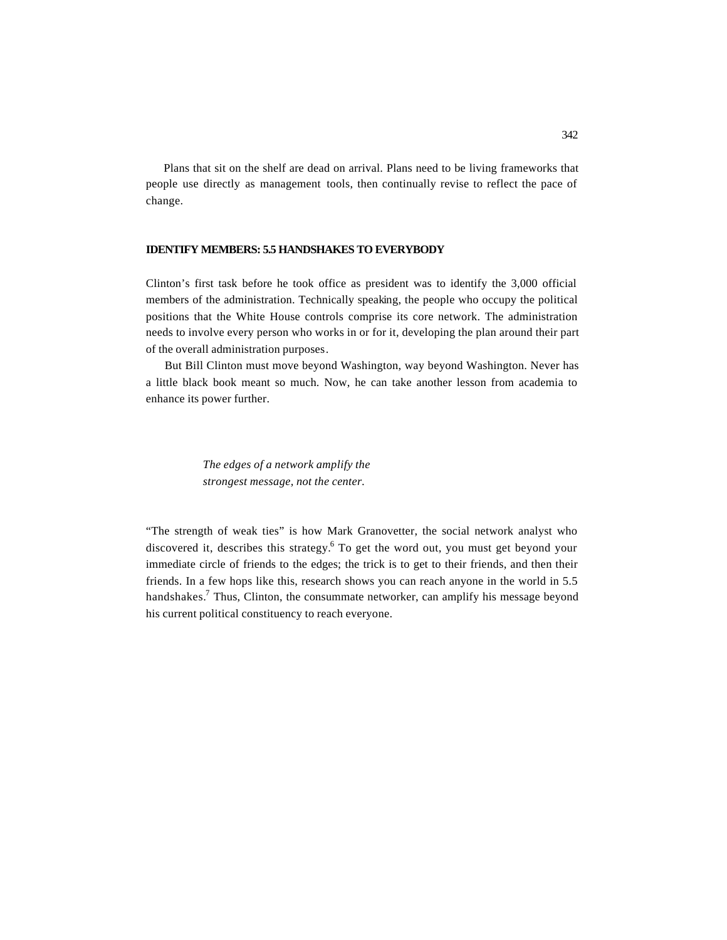Plans that sit on the shelf are dead on arrival. Plans need to be living frameworks that people use directly as management tools, then continually revise to reflect the pace of change.

## **IDENTIFY MEMBERS: 5.5 HANDSHAKES TO EVERYBODY**

Clinton's first task before he took office as president was to identify the 3,000 official members of the administration. Technically speaking, the people who occupy the political positions that the White House controls comprise its core network. The administration needs to involve every person who works in or for it, developing the plan around their part of the overall administration purposes.

But Bill Clinton must move beyond Washington, way beyond Washington. Never has a little black book meant so much. Now, he can take another lesson from academia to enhance its power further.

> *The edges of a network amplify the strongest message, not the center.*

"The strength of weak ties" is how Mark Granovetter, the social network analyst who discovered it, describes this strategy.<sup>6</sup> To get the word out, you must get beyond your immediate circle of friends to the edges; the trick is to get to their friends, and then their friends. In a few hops like this, research shows you can reach anyone in the world in 5.5 handshakes.<sup>7</sup> Thus, Clinton, the consummate networker, can amplify his message beyond his current political constituency to reach everyone.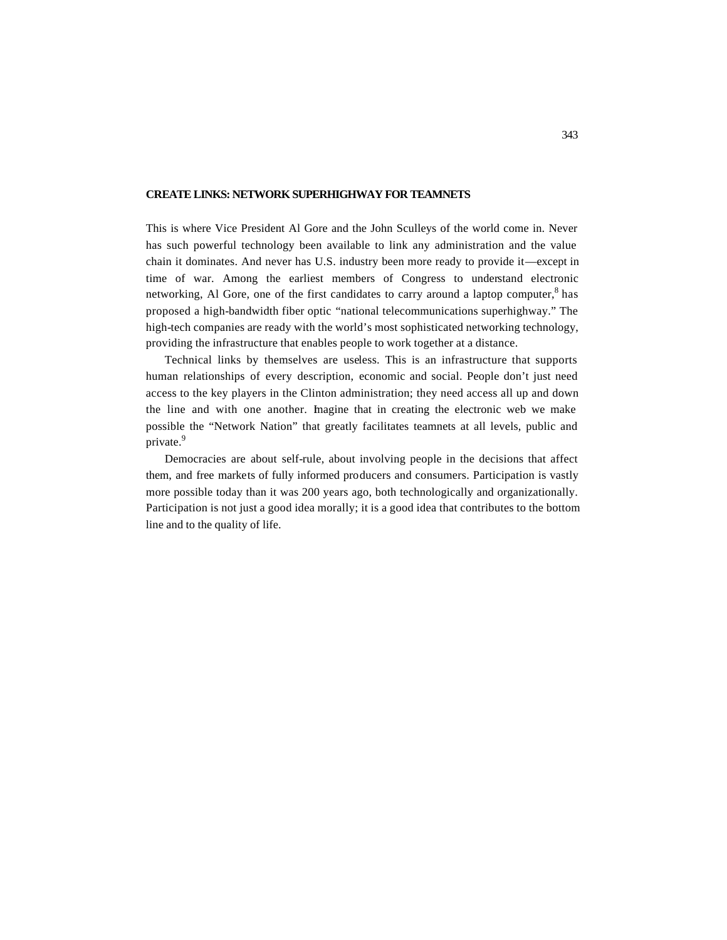## **CREATE LINKS: NETWORK SUPERHIGHWAY FOR TEAMNETS**

This is where Vice President Al Gore and the John Sculleys of the world come in. Never has such powerful technology been available to link any administration and the value chain it dominates. And never has U.S. industry been more ready to provide it—except in time of war. Among the earliest members of Congress to understand electronic networking, Al Gore, one of the first candidates to carry around a laptop computer, $8$  has proposed a high-bandwidth fiber optic "national telecommunications superhighway." The high-tech companies are ready with the world's most sophisticated networking technology, providing the infrastructure that enables people to work together at a distance.

Technical links by themselves are useless. This is an infrastructure that supports human relationships of every description, economic and social. People don't just need access to the key players in the Clinton administration; they need access all up and down the line and with one another. Imagine that in creating the electronic web we make possible the "Network Nation" that greatly facilitates teamnets at all levels, public and private.<sup>9</sup>

Democracies are about self-rule, about involving people in the decisions that affect them, and free markets of fully informed producers and consumers. Participation is vastly more possible today than it was 200 years ago, both technologically and organizationally. Participation is not just a good idea morally; it is a good idea that contributes to the bottom line and to the quality of life.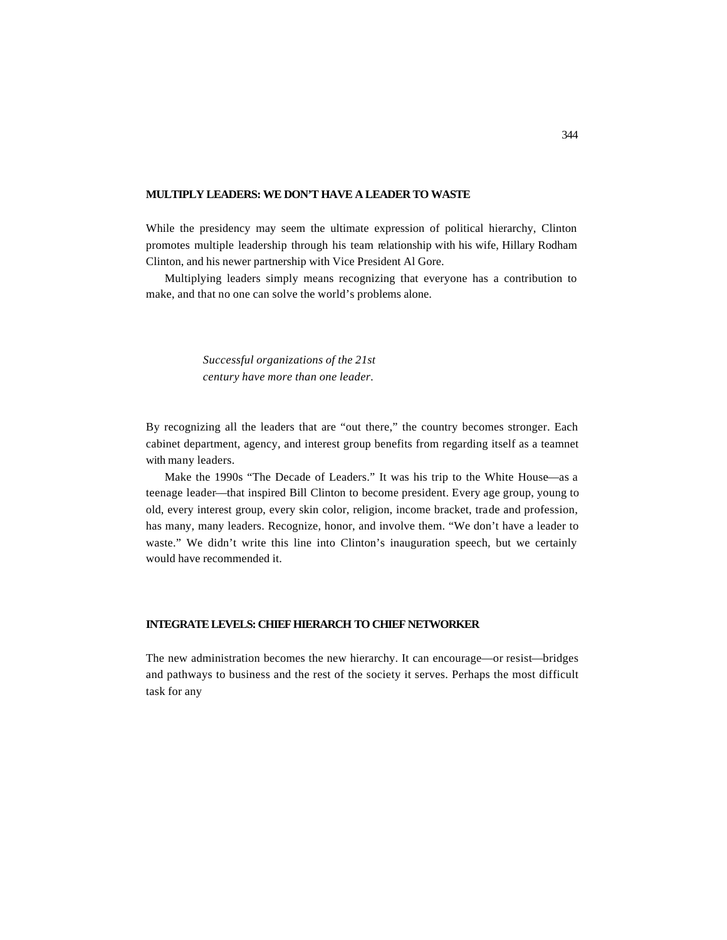## **MULTIPLY LEADERS: WE DON'T HAVE A LEADER TO WASTE**

While the presidency may seem the ultimate expression of political hierarchy, Clinton promotes multiple leadership through his team relationship with his wife, Hillary Rodham Clinton, and his newer partnership with Vice President Al Gore.

Multiplying leaders simply means recognizing that everyone has a contribution to make, and that no one can solve the world's problems alone.

> *Successful organizations of the 21st century have more than one leader.*

By recognizing all the leaders that are "out there," the country becomes stronger. Each cabinet department, agency, and interest group benefits from regarding itself as a teamnet with many leaders.

Make the 1990s "The Decade of Leaders." It was his trip to the White House—as a teenage leader—that inspired Bill Clinton to become president. Every age group, young to old, every interest group, every skin color, religion, income bracket, trade and profession, has many, many leaders. Recognize, honor, and involve them. "We don't have a leader to waste." We didn't write this line into Clinton's inauguration speech, but we certainly would have recommended it.

# **INTEGRATE LEVELS: CHIEF HIERARCH TO CHIEF NETWORKER**

The new administration becomes the new hierarchy. It can encourage—or resist—bridges and pathways to business and the rest of the society it serves. Perhaps the most difficult task for any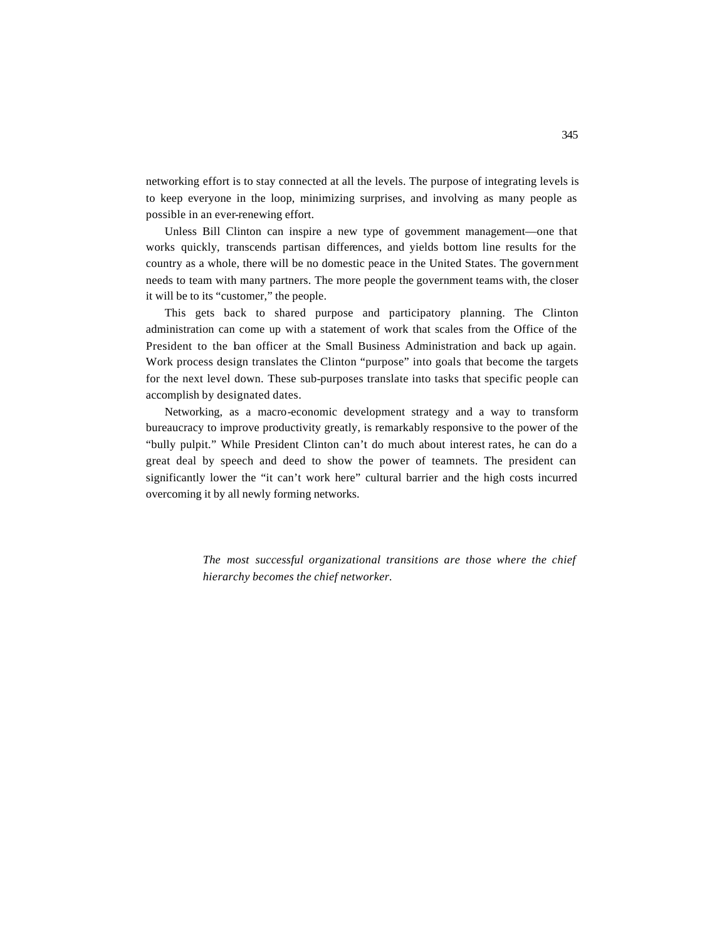networking effort is to stay connected at all the levels. The purpose of integrating levels is to keep everyone in the loop, minimizing surprises, and involving as many people as possible in an ever-renewing effort.

Unless Bill Clinton can inspire a new type of government management—one that works quickly, transcends partisan differences, and yields bottom line results for the country as a whole, there will be no domestic peace in the United States. The government needs to team with many partners. The more people the government teams with, the closer it will be to its "customer," the people.

This gets back to shared purpose and participatory planning. The Clinton administration can come up with a statement of work that scales from the Office of the President to the ban officer at the Small Business Administration and back up again. Work process design translates the Clinton "purpose" into goals that become the targets for the next level down. These sub-purposes translate into tasks that specific people can accomplish by designated dates.

Networking, as a macro-economic development strategy and a way to transform bureaucracy to improve productivity greatly, is remarkably responsive to the power of the "bully pulpit." While President Clinton can't do much about interest rates, he can do a great deal by speech and deed to show the power of teamnets. The president can significantly lower the "it can't work here" cultural barrier and the high costs incurred overcoming it by all newly forming networks.

> *The most successful organizational transitions are those where the chief hierarchy becomes the chief networker.*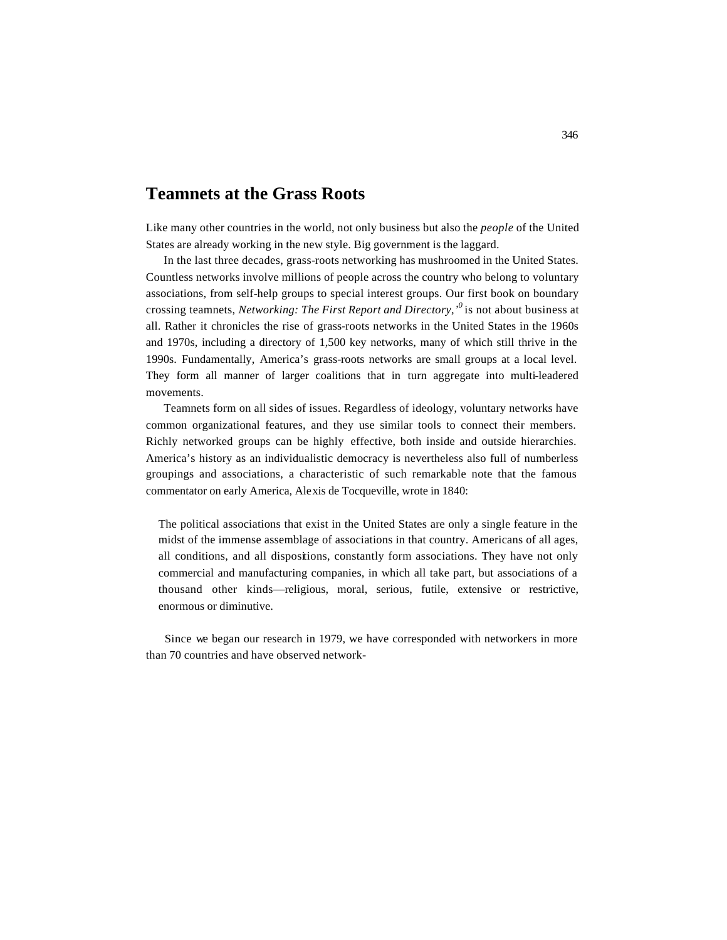# **Teamnets at the Grass Roots**

Like many other countries in the world, not only business but also the *people* of the United States are already working in the new style. Big government is the laggard.

In the last three decades, grass-roots networking has mushroomed in the United States. Countless networks involve millions of people across the country who belong to voluntary associations, from self-help groups to special interest groups. Our first book on boundary crossing teamnets, *Networking: The First Report and Directory,'<sup>0</sup>*is not about business at all. Rather it chronicles the rise of grass-roots networks in the United States in the 1960s and 1970s, including a directory of 1,500 key networks, many of which still thrive in the 1990s. Fundamentally, America's grass-roots networks are small groups at a local level. They form all manner of larger coalitions that in turn aggregate into multi-leadered movements.

Teamnets form on all sides of issues. Regardless of ideology, voluntary networks have common organizational features, and they use similar tools to connect their members. Richly networked groups can be highly effective, both inside and outside hierarchies. America's history as an individualistic democracy is nevertheless also full of numberless groupings and associations, a characteristic of such remarkable note that the famous commentator on early America, Alexis de Tocqueville, wrote in 1840:

The political associations that exist in the United States are only a single feature in the midst of the immense assemblage of associations in that country. Americans of all ages, all conditions, and all dispositions, constantly form associations. They have not only commercial and manufacturing companies, in which all take part, but associations of a thousand other kinds—religious, moral, serious, futile, extensive or restrictive, enormous or diminutive.

Since we began our research in 1979, we have corresponded with networkers in more than 70 countries and have observed network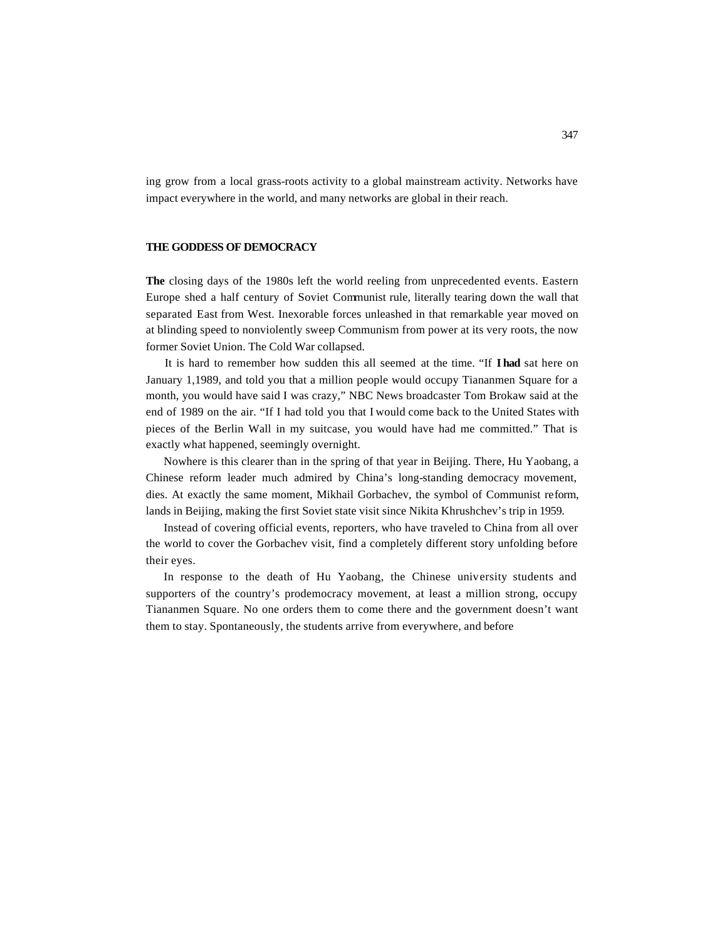ing grow from a local grass-roots activity to a global mainstream activity. Networks have impact everywhere in the world, and many networks are global in their reach.

#### **THE GODDESS OF DEMOCRACY**

**The** closing days of the 1980s left the world reeling from unprecedented events. Eastern Europe shed a half century of Soviet Communist rule, literally tearing down the wall that separated East from West. Inexorable forces unleashed in that remarkable year moved on at blinding speed to nonviolently sweep Communism from power at its very roots, the now former Soviet Union. The Cold War collapsed.

It is hard to remember how sudden this all seemed at the time. "If **I had** sat here on January 1,1989, and told you that a million people would occupy Tiananmen Square for a month, you would have said I was crazy," NBC News broadcaster Tom Brokaw said at the end of 1989 on the air. "If I had told you that I would come back to the United States with pieces of the Berlin Wall in my suitcase, you would have had me committed." That is exactly what happened, seemingly overnight.

Nowhere is this clearer than in the spring of that year in Beijing. There, Hu Yaobang, a Chinese reform leader much admired by China's long-standing democracy movement, dies. At exactly the same moment, Mikhail Gorbachev, the symbol of Communist reform, lands in Beijing, making the first Soviet state visit since Nikita Khrushchev's trip in 1959.

Instead of covering official events, reporters, who have traveled to China from all over the world to cover the Gorbachev visit, find a completely different story unfolding before their eyes.

In response to the death of Hu Yaobang, the Chinese university students and supporters of the country's prodemocracy movement, at least a million strong, occupy Tiananmen Square. No one orders them to come there and the government doesn't want them to stay. Spontaneously, the students arrive from everywhere, and before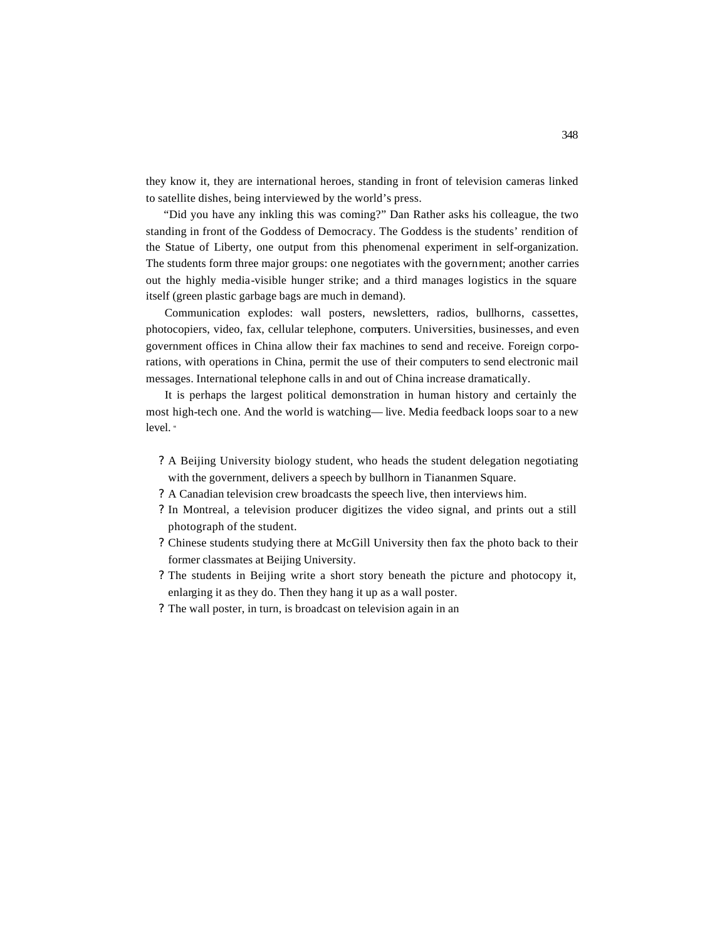they know it, they are international heroes, standing in front of television cameras linked to satellite dishes, being interviewed by the world's press.

"Did you have any inkling this was coming?" Dan Rather asks his colleague, the two standing in front of the Goddess of Democracy. The Goddess is the students' rendition of the Statue of Liberty, one output from this phenomenal experiment in self-organization. The students form three major groups: one negotiates with the government; another carries out the highly media-visible hunger strike; and a third manages logistics in the square itself (green plastic garbage bags are much in demand).

Communication explodes: wall posters, newsletters, radios, bullhorns, cassettes, photocopiers, video, fax, cellular telephone, computers. Universities, businesses, and even government offices in China allow their fax machines to send and receive. Foreign corporations, with operations in China, permit the use of their computers to send electronic mail messages. International telephone calls in and out of China increase dramatically.

It is perhaps the largest political demonstration in human history and certainly the most high-tech one. And the world is watching— live. Media feedback loops soar to a new level. "

- ? A Beijing University biology student, who heads the student delegation negotiating with the government, delivers a speech by bullhorn in Tiananmen Square.
- ? A Canadian television crew broadcasts the speech live, then interviews him.
- ? In Montreal, a television producer digitizes the video signal, and prints out a still photograph of the student.
- ? Chinese students studying there at McGill University then fax the photo back to their former classmates at Beijing University.
- ? The students in Beijing write a short story beneath the picture and photocopy it, enlarging it as they do. Then they hang it up as a wall poster.
- ? The wall poster, in turn, is broadcast on television again in an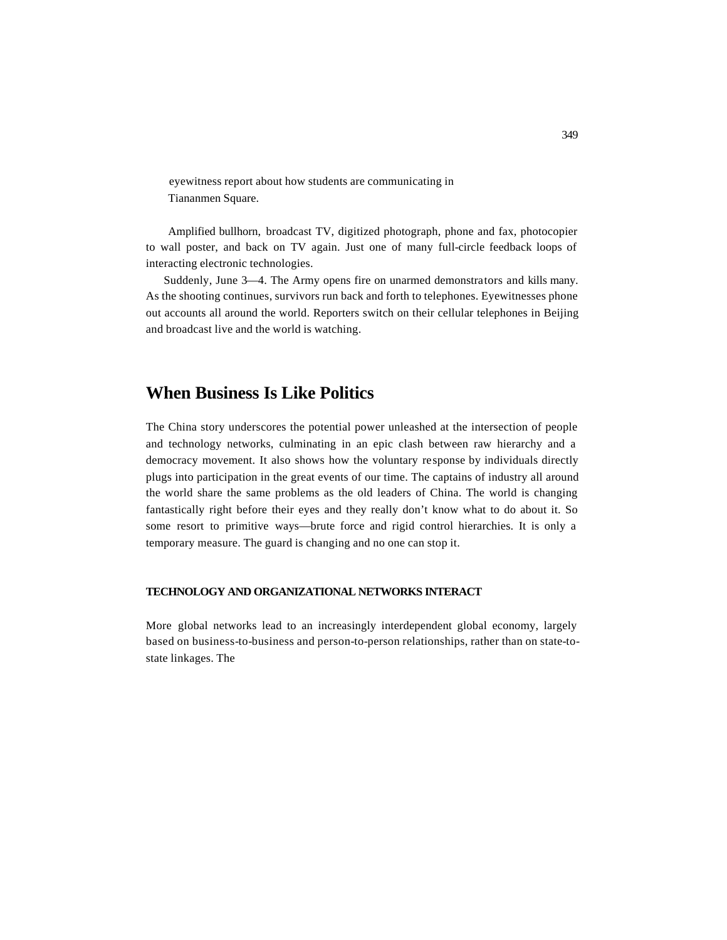eyewitness report about how students are communicating in Tiananmen Square.

Amplified bullhorn, broadcast TV, digitized photograph, phone and fax, photocopier to wall poster, and back on TV again. Just one of many full-circle feedback loops of interacting electronic technologies.

Suddenly, June 3—4. The Army opens fire on unarmed demonstrators and kills many. As the shooting continues, survivors run back and forth to telephones. Eyewitnesses phone out accounts all around the world. Reporters switch on their cellular telephones in Beijing and broadcast live and the world is watching.

# **When Business Is Like Politics**

The China story underscores the potential power unleashed at the intersection of people and technology networks, culminating in an epic clash between raw hierarchy and a democracy movement. It also shows how the voluntary response by individuals directly plugs into participation in the great events of our time. The captains of industry all around the world share the same problems as the old leaders of China. The world is changing fantastically right before their eyes and they really don't know what to do about it. So some resort to primitive ways—brute force and rigid control hierarchies. It is only a temporary measure. The guard is changing and no one can stop it.

#### **TECHNOLOGY AND ORGANIZATIONAL NETWORKS INTERACT**

More global networks lead to an increasingly interdependent global economy, largely based on business-to-business and person-to-person relationships, rather than on state-tostate linkages. The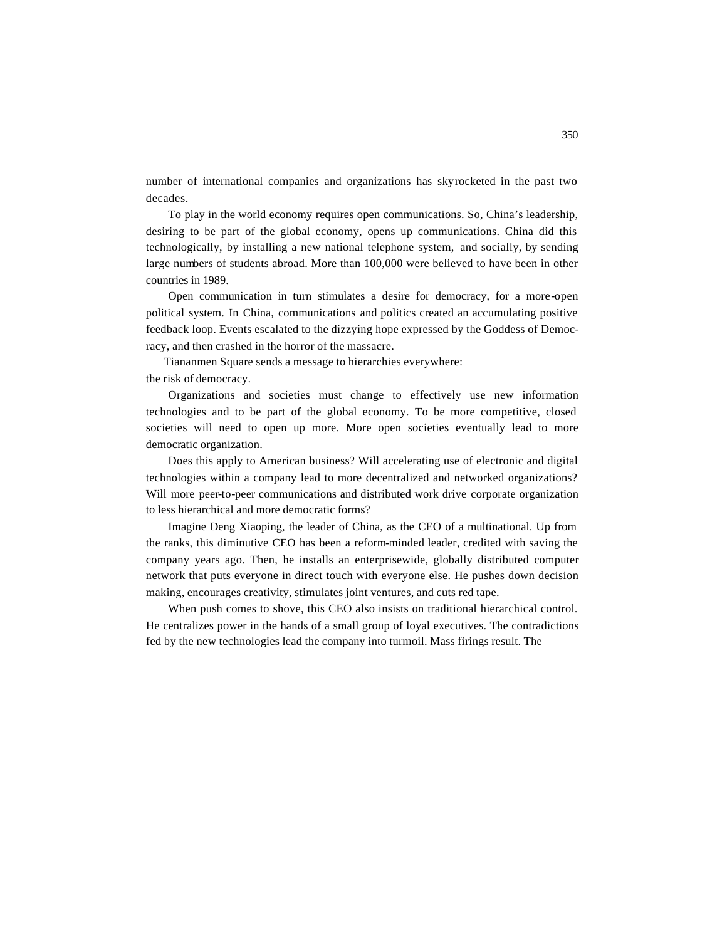number of international companies and organizations has skyrocketed in the past two decades.

To play in the world economy requires open communications. So, China's leadership, desiring to be part of the global economy, opens up communications. China did this technologically, by installing a new national telephone system, and socially, by sending large numbers of students abroad. More than 100,000 were believed to have been in other countries in 1989.

Open communication in turn stimulates a desire for democracy, for a more-open political system. In China, communications and politics created an accumulating positive feedback loop. Events escalated to the dizzying hope expressed by the Goddess of Democracy, and then crashed in the horror of the massacre.

Tiananmen Square sends a message to hierarchies everywhere: the risk of democracy.

Organizations and societies must change to effectively use new information technologies and to be part of the global economy. To be more competitive, closed societies will need to open up more. More open societies eventually lead to more democratic organization.

Does this apply to American business? Will accelerating use of electronic and digital technologies within a company lead to more decentralized and networked organizations? Will more peer-to-peer communications and distributed work drive corporate organization to less hierarchical and more democratic forms?

Imagine Deng Xiaoping, the leader of China, as the CEO of a multinational. Up from the ranks, this diminutive CEO has been a reform-minded leader, credited with saving the company years ago. Then, he installs an enterprisewide, globally distributed computer network that puts everyone in direct touch with everyone else. He pushes down decision making, encourages creativity, stimulates joint ventures, and cuts red tape.

When push comes to shove, this CEO also insists on traditional hierarchical control. He centralizes power in the hands of a small group of loyal executives. The contradictions fed by the new technologies lead the company into turmoil. Mass firings result. The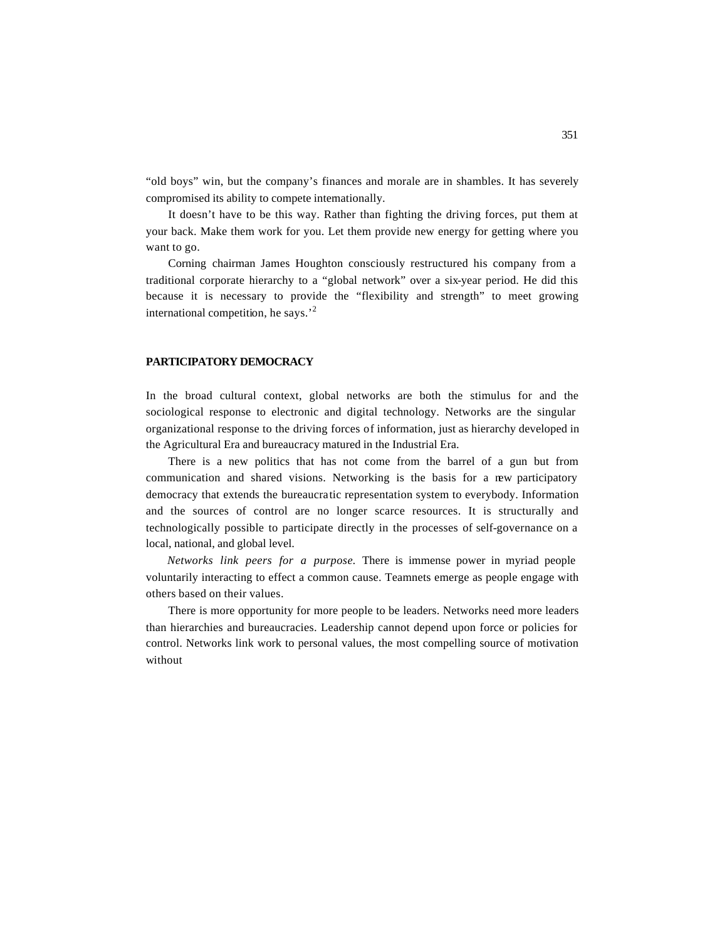"old boys" win, but the company's finances and morale are in shambles. It has severely compromised its ability to compete internationally.

It doesn't have to be this way. Rather than fighting the driving forces, put them at your back. Make them work for you. Let them provide new energy for getting where you want to go.

Corning chairman James Houghton consciously restructured his company from a traditional corporate hierarchy to a "global network" over a six-year period. He did this because it is necessary to provide the "flexibility and strength" to meet growing international competition, he says.'<sup>2</sup>

# **PARTICIPATORY DEMOCRACY**

In the broad cultural context, global networks are both the stimulus for and the sociological response to electronic and digital technology. Networks are the singular organizational response to the driving forces of information, just as hierarchy developed in the Agricultural Era and bureaucracy matured in the Industrial Era.

There is a new politics that has not come from the barrel of a gun but from communication and shared visions. Networking is the basis for a new participatory democracy that extends the bureaucratic representation system to everybody. Information and the sources of control are no longer scarce resources. It is structurally and technologically possible to participate directly in the processes of self-governance on a local, national, and global level.

*Networks link peers for a purpose.* There is immense power in myriad people voluntarily interacting to effect a common cause. Teamnets emerge as people engage with others based on their values.

There is more opportunity for more people to be leaders. Networks need more leaders than hierarchies and bureaucracies. Leadership cannot depend upon force or policies for control. Networks link work to personal values, the most compelling source of motivation without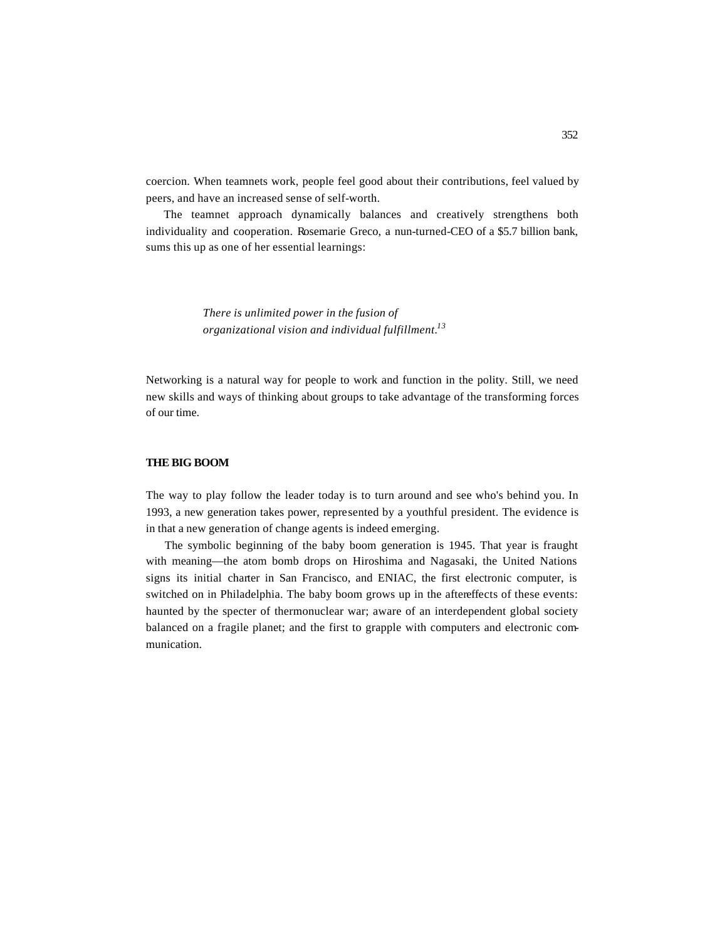coercion. When teamnets work, people feel good about their contributions, feel valued by peers, and have an increased sense of self-worth.

The teamnet approach dynamically balances and creatively strengthens both individuality and cooperation. Rosemarie Greco, a nun-turned-CEO of a \$5.7 billion bank, sums this up as one of her essential learnings:

> *There is unlimited power in the fusion of organizational vision and individual fulfillment.<sup>13</sup>*

Networking is a natural way for people to work and function in the polity. Still, we need new skills and ways of thinking about groups to take advantage of the transforming forces of our time.

## **THE BIG BOOM**

The way to play follow the leader today is to turn around and see who's behind you. In 1993, a new generation takes power, represented by a youthful president. The evidence is in that a new generation of change agents is indeed emerging.

The symbolic beginning of the baby boom generation is 1945. That year is fraught with meaning—the atom bomb drops on Hiroshima and Nagasaki, the United Nations signs its initial charter in San Francisco, and ENIAC, the first electronic computer, is switched on in Philadelphia. The baby boom grows up in the aftereffects of these events: haunted by the specter of thermonuclear war; aware of an interdependent global society balanced on a fragile planet; and the first to grapple with computers and electronic communication.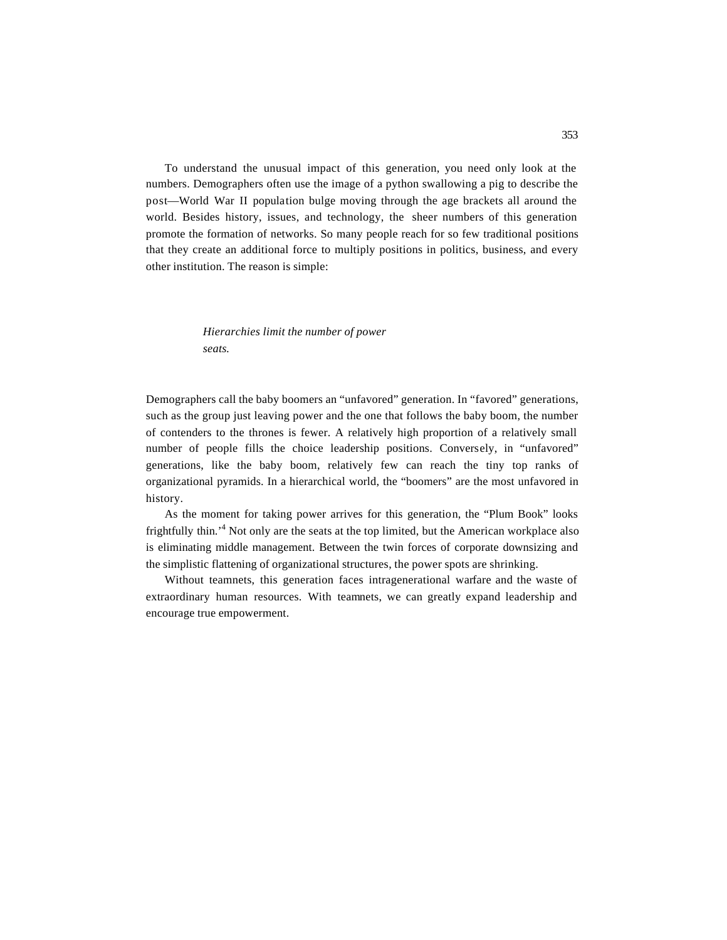To understand the unusual impact of this generation, you need only look at the numbers. Demographers often use the image of a python swallowing a pig to describe the post—World War II population bulge moving through the age brackets all around the world. Besides history, issues, and technology, the sheer numbers of this generation promote the formation of networks. So many people reach for so few traditional positions that they create an additional force to multiply positions in politics, business, and every other institution. The reason is simple:

# *Hierarchies limit the number of power seats.*

Demographers call the baby boomers an "unfavored" generation. In "favored" generations, such as the group just leaving power and the one that follows the baby boom, the number of contenders to the thrones is fewer. A relatively high proportion of a relatively small number of people fills the choice leadership positions. Conversely, in "unfavored" generations, like the baby boom, relatively few can reach the tiny top ranks of organizational pyramids. In a hierarchical world, the "boomers" are the most unfavored in history.

As the moment for taking power arrives for this generation, the "Plum Book" looks frightfully thin.'<sup>4</sup>Not only are the seats at the top limited, but the American workplace also is eliminating middle management. Between the twin forces of corporate downsizing and the simplistic flattening of organizational structures, the power spots are shrinking.

Without teamnets, this generation faces intragenerational warfare and the waste of extraordinary human resources. With teamnets, we can greatly expand leadership and encourage true empowerment.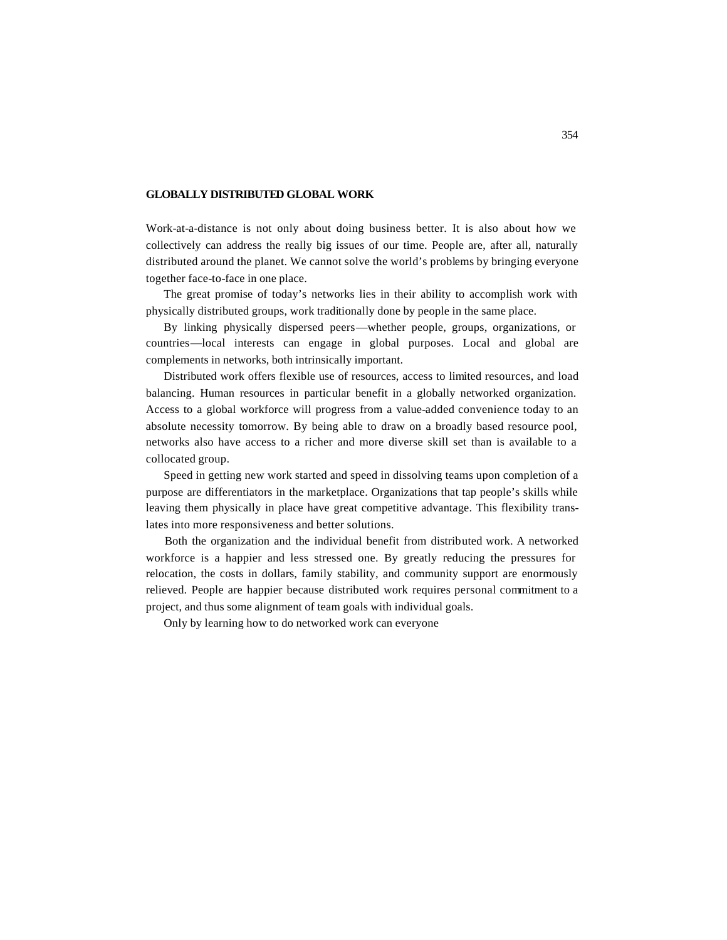## **GLOBALLY DISTRIBUTED GLOBAL WORK**

Work-at-a-distance is not only about doing business better. It is also about how we collectively can address the really big issues of our time. People are, after all, naturally distributed around the planet. We cannot solve the world's problems by bringing everyone together face-to-face in one place.

The great promise of today's networks lies in their ability to accomplish work with physically distributed groups, work traditionally done by people in the same place.

By linking physically dispersed peers—whether people, groups, organizations, or countries—local interests can engage in global purposes. Local and global are complements in networks, both intrinsically important.

Distributed work offers flexible use of resources, access to limited resources, and load balancing. Human resources in particular benefit in a globally networked organization. Access to a global workforce will progress from a value-added convenience today to an absolute necessity tomorrow. By being able to draw on a broadly based resource pool, networks also have access to a richer and more diverse skill set than is available to a collocated group.

Speed in getting new work started and speed in dissolving teams upon completion of a purpose are differentiators in the marketplace. Organizations that tap people's skills while leaving them physically in place have great competitive advantage. This flexibility translates into more responsiveness and better solutions.

Both the organization and the individual benefit from distributed work. A networked workforce is a happier and less stressed one. By greatly reducing the pressures for relocation, the costs in dollars, family stability, and community support are enormously relieved. People are happier because distributed work requires personal commitment to a project, and thus some alignment of team goals with individual goals.

Only by learning how to do networked work can everyone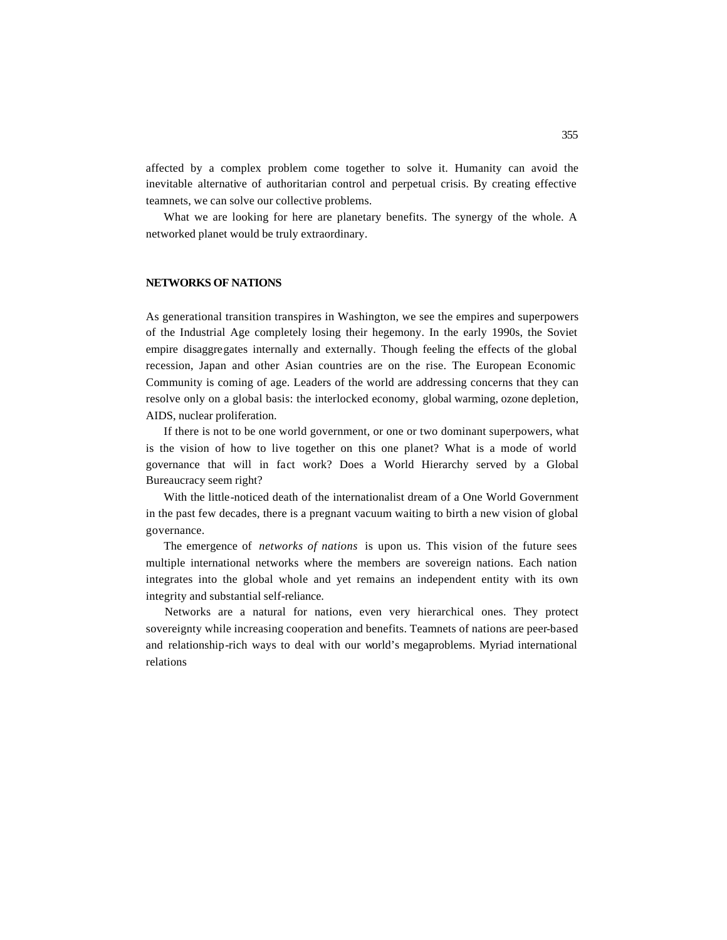affected by a complex problem come together to solve it. Humanity can avoid the inevitable alternative of authoritarian control and perpetual crisis. By creating effective teamnets, we can solve our collective problems.

What we are looking for here are planetary benefits. The synergy of the whole. A networked planet would be truly extraordinary.

## **NETWORKS OF NATIONS**

As generational transition transpires in Washington, we see the empires and superpowers of the Industrial Age completely losing their hegemony. In the early 1990s, the Soviet empire disaggregates internally and externally. Though feeling the effects of the global recession, Japan and other Asian countries are on the rise. The European Economic Community is coming of age. Leaders of the world are addressing concerns that they can resolve only on a global basis: the interlocked economy, global warming, ozone depletion, AIDS, nuclear proliferation.

If there is not to be one world government, or one or two dominant superpowers, what is the vision of how to live together on this one planet? What is a mode of world governance that will in fact work? Does a World Hierarchy served by a Global Bureaucracy seem right?

With the little-noticed death of the internationalist dream of a One World Government in the past few decades, there is a pregnant vacuum waiting to birth a new vision of global governance.

The emergence of *networks of nations* is upon us. This vision of the future sees multiple international networks where the members are sovereign nations. Each nation integrates into the global whole and yet remains an independent entity with its own integrity and substantial self-reliance.

Networks are a natural for nations, even very hierarchical ones. They protect sovereignty while increasing cooperation and benefits. Teamnets of nations are peer-based and relationship-rich ways to deal with our world's megaproblems. Myriad international relations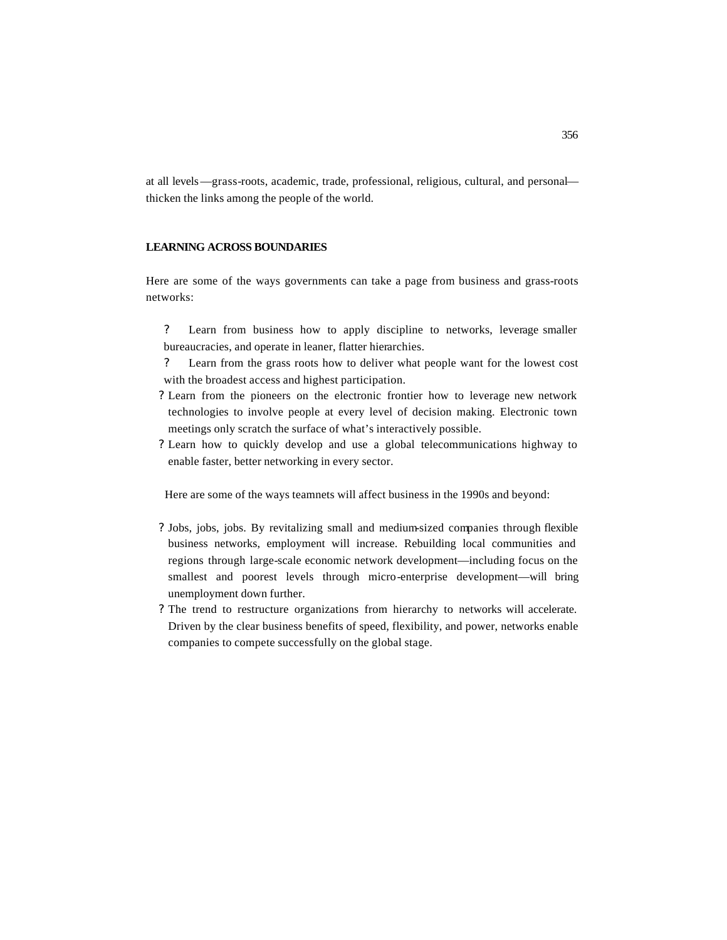at all levels—grass-roots, academic, trade, professional, religious, cultural, and personal thicken the links among the people of the world.

# **LEARNING ACROSS BOUNDARIES**

Here are some of the ways governments can take a page from business and grass-roots networks:

? Learn from business how to apply discipline to networks, leverage smaller bureaucracies, and operate in leaner, flatter hierarchies.

? Learn from the grass roots how to deliver what people want for the lowest cost with the broadest access and highest participation.

- ? Learn from the pioneers on the electronic frontier how to leverage new network technologies to involve people at every level of decision making. Electronic town meetings only scratch the surface of what's interactively possible.
- ? Learn how to quickly develop and use a global telecommunications highway to enable faster, better networking in every sector.

Here are some of the ways teamnets will affect business in the 1990s and beyond:

- ? Jobs, jobs, jobs. By revitalizing small and medium-sized companies through flexible business networks, employment will increase. Rebuilding local communities and regions through large-scale economic network development—including focus on the smallest and poorest levels through micro-enterprise development—will bring unemployment down further.
- ? The trend to restructure organizations from hierarchy to networks will accelerate. Driven by the clear business benefits of speed, flexibility, and power, networks enable companies to compete successfully on the global stage.